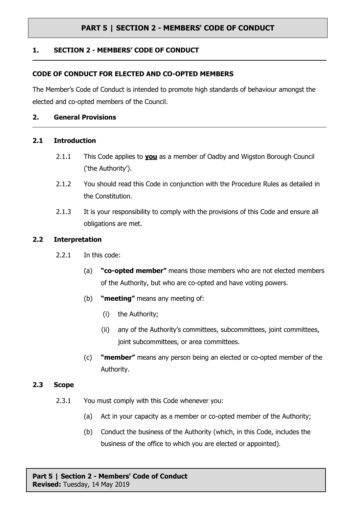## **1. SECTION 2 - MEMBERS' CODE OF CONDUCT**

#### **CODE OF CONDUCT FOR ELECTED AND CO-OPTED MEMBERS**

The Member's Code of Conduct is intended to promote high standards of behaviour amongst the elected and co-opted members of the Council.

#### **2. General Provisions**

#### **2.1 Introduction**

- 2.1.1 This Code applies to **you** as a member of Oadby and Wigston Borough Council ('the Authority').
- 2.1.2 You should read this Code in conjunction with the Procedure Rules as detailed in the Constitution.
- 2.1.3 It is your responsibility to comply with the provisions of this Code and ensure all obligations are met.

#### **2.2 Interpretation**

- 2.2.1 In this code:
	- (a) **"co-opted member"** means those members who are not elected members of the Authority, but who are co-opted and have voting powers.
	- (b) **"meeting"** means any meeting of:
		- (i) the Authority;
		- (ii) any of the Authority's committees, subcommittees, joint committees, joint subcommittees, or area committees.
	- (c) **"member"** means any person being an elected or co-opted member of the Authority.

#### **2.3 Scope**

- 2.3.1 You must comply with this Code whenever you:
	- (a) Act in your capacity as a member or co-opted member of the Authority;
	- (b) Conduct the business of the Authority (which, in this Code, includes the business of the office to which you are elected or appointed).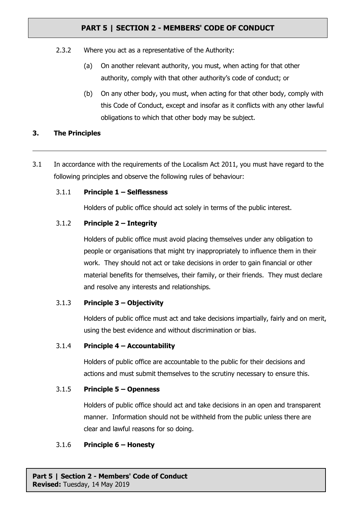- 2.3.2 Where you act as a representative of the Authority:
	- (a) On another relevant authority, you must, when acting for that other authority, comply with that other authority's code of conduct; or
	- (b) On any other body, you must, when acting for that other body, comply with this Code of Conduct, except and insofar as it conflicts with any other lawful obligations to which that other body may be subject.

#### **3. The Principles**

3.1 In accordance with the requirements of the Localism Act 2011, you must have regard to the following principles and observe the following rules of behaviour:

#### 3.1.1 **Principle 1 – Selflessness**

Holders of public office should act solely in terms of the public interest.

## 3.1.2 **Principle 2 – Integrity**

Holders of public office must avoid placing themselves under any obligation to people or organisations that might try inappropriately to influence them in their work. They should not act or take decisions in order to gain financial or other material benefits for themselves, their family, or their friends. They must declare and resolve any interests and relationships.

## 3.1.3 **Principle 3 – Objectivity**

Holders of public office must act and take decisions impartially, fairly and on merit, using the best evidence and without discrimination or bias.

#### 3.1.4 **Principle 4 – Accountability**

Holders of public office are accountable to the public for their decisions and actions and must submit themselves to the scrutiny necessary to ensure this.

#### 3.1.5 **Principle 5 – Openness**

Holders of public office should act and take decisions in an open and transparent manner. Information should not be withheld from the public unless there are clear and lawful reasons for so doing.

#### 3.1.6 **Principle 6 – Honesty**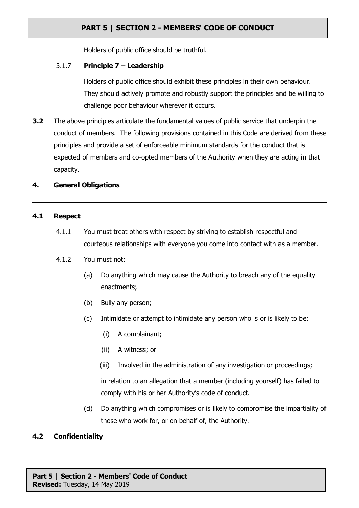Holders of public office should be truthful.

## 3.1.7 **Principle 7 – Leadership**

Holders of public office should exhibit these principles in their own behaviour. They should actively promote and robustly support the principles and be willing to challenge poor behaviour wherever it occurs.

**3.2** The above principles articulate the fundamental values of public service that underpin the conduct of members. The following provisions contained in this Code are derived from these principles and provide a set of enforceable minimum standards for the conduct that is expected of members and co-opted members of the Authority when they are acting in that capacity.

## **4. General Obligations**

#### **4.1 Respect**

- 4.1.1 You must treat others with respect by striving to establish respectful and courteous relationships with everyone you come into contact with as a member.
- 4.1.2 You must not:
	- (a) Do anything which may cause the Authority to breach any of the equality enactments;
	- (b) Bully any person;
	- (c) Intimidate or attempt to intimidate any person who is or is likely to be:
		- (i) A complainant;
		- (ii) A witness; or
		- (iii) Involved in the administration of any investigation or proceedings;

in relation to an allegation that a member (including yourself) has failed to comply with his or her Authority's code of conduct.

(d) Do anything which compromises or is likely to compromise the impartiality of those who work for, or on behalf of, the Authority.

## **4.2 Confidentiality**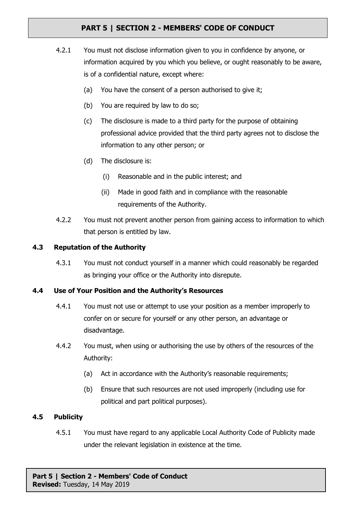- 4.2.1 You must not disclose information given to you in confidence by anyone, or information acquired by you which you believe, or ought reasonably to be aware, is of a confidential nature, except where:
	- (a) You have the consent of a person authorised to give it;
	- (b) You are required by law to do so;
	- (c) The disclosure is made to a third party for the purpose of obtaining professional advice provided that the third party agrees not to disclose the information to any other person; or
	- (d) The disclosure is:
		- (i) Reasonable and in the public interest; and
		- (ii) Made in good faith and in compliance with the reasonable requirements of the Authority.
- 4.2.2 You must not prevent another person from gaining access to information to which that person is entitled by law.

## **4.3 Reputation of the Authority**

4.3.1 You must not conduct yourself in a manner which could reasonably be regarded as bringing your office or the Authority into disrepute.

## **4.4 Use of Your Position and the Authority's Resources**

- 4.4.1 You must not use or attempt to use your position as a member improperly to confer on or secure for yourself or any other person, an advantage or disadvantage.
- 4.4.2 You must, when using or authorising the use by others of the resources of the Authority:
	- (a) Act in accordance with the Authority's reasonable requirements;
	- (b) Ensure that such resources are not used improperly (including use for political and part political purposes).

## **4.5 Publicity**

4.5.1 You must have regard to any applicable Local Authority Code of Publicity made under the relevant legislation in existence at the time.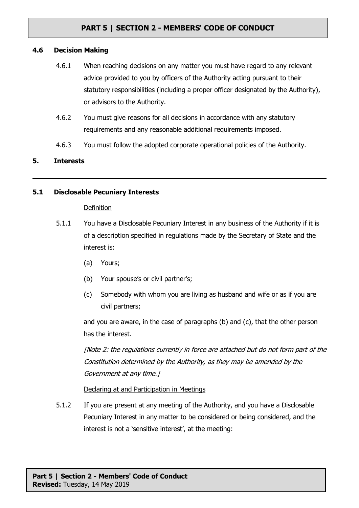#### **4.6 Decision Making**

- 4.6.1 When reaching decisions on any matter you must have regard to any relevant advice provided to you by officers of the Authority acting pursuant to their statutory responsibilities (including a proper officer designated by the Authority), or advisors to the Authority.
- 4.6.2 You must give reasons for all decisions in accordance with any statutory requirements and any reasonable additional requirements imposed.
- 4.6.3 You must follow the adopted corporate operational policies of the Authority.

## **5. Interests**

#### **5.1 Disclosable Pecuniary Interests**

#### Definition

- 5.1.1 You have a Disclosable Pecuniary Interest in any business of the Authority if it is of a description specified in regulations made by the Secretary of State and the interest is:
	- (a) Yours;
	- (b) Your spouse's or civil partner's;
	- (c) Somebody with whom you are living as husband and wife or as if you are civil partners;

and you are aware, in the case of paragraphs (b) and (c), that the other person has the interest.

[Note 2: the regulations currently in force are attached but do not form part of the Constitution determined by the Authority, as they may be amended by the Government at any time.]

Declaring at and Participation in Meetings

5.1.2 If you are present at any meeting of the Authority, and you have a Disclosable Pecuniary Interest in any matter to be considered or being considered, and the interest is not a 'sensitive interest', at the meeting: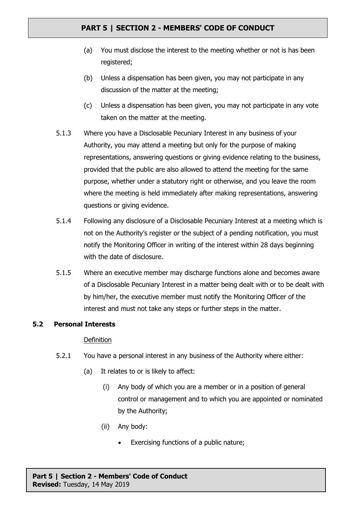- (a) You must disclose the interest to the meeting whether or not is has been registered;
- (b) Unless a dispensation has been given, you may not participate in any discussion of the matter at the meeting;
- (c) Unless a dispensation has been given, you may not participate in any vote taken on the matter at the meeting.
- 5.1.3 Where you have a Disclosable Pecuniary Interest in any business of your Authority, you may attend a meeting but only for the purpose of making representations, answering questions or giving evidence relating to the business, provided that the public are also allowed to attend the meeting for the same purpose, whether under a statutory right or otherwise, and you leave the room where the meeting is held immediately after making representations, answering questions or giving evidence.
- 5.1.4 Following any disclosure of a Disclosable Pecuniary Interest at a meeting which is not on the Authority's register or the subject of a pending notification, you must notify the Monitoring Officer in writing of the interest within 28 days beginning with the date of disclosure.
- 5.1.5 Where an executive member may discharge functions alone and becomes aware of a Disclosable Pecuniary Interest in a matter being dealt with or to be dealt with by him/her, the executive member must notify the Monitoring Officer of the interest and must not take any steps or further steps in the matter.

## **5.2 Personal Interests**

## Definition

- 5.2.1 You have a personal interest in any business of the Authority where either:
	- (a) It relates to or is likely to affect:
		- (i) Any body of which you are a member or in a position of general control or management and to which you are appointed or nominated by the Authority;
		- (ii) Any body:
			- Exercising functions of a public nature;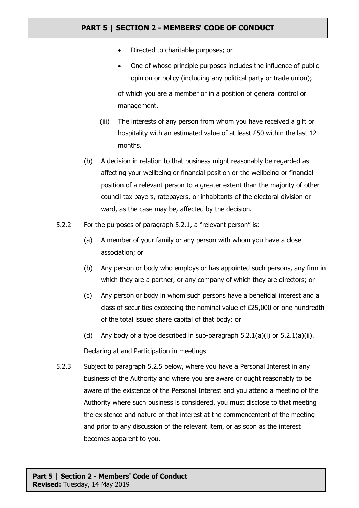- Directed to charitable purposes; or
- One of whose principle purposes includes the influence of public opinion or policy (including any political party or trade union); of which you are a member or in a position of general control or management.
- (iii) The interests of any person from whom you have received a gift or hospitality with an estimated value of at least £50 within the last 12 months.
- (b) A decision in relation to that business might reasonably be regarded as affecting your wellbeing or financial position or the wellbeing or financial position of a relevant person to a greater extent than the majority of other council tax payers, ratepayers, or inhabitants of the electoral division or ward, as the case may be, affected by the decision.
- 5.2.2 For the purposes of paragraph 5.2.1, a "relevant person" is:
	- (a) A member of your family or any person with whom you have a close association; or
	- (b) Any person or body who employs or has appointed such persons, any firm in which they are a partner, or any company of which they are directors; or
	- (c) Any person or body in whom such persons have a beneficial interest and a class of securities exceeding the nominal value of £25,000 or one hundredth of the total issued share capital of that body; or
	- (d) Any body of a type described in sub-paragraph  $5.2.1(a)(i)$  or  $5.2.1(a)(ii)$ .

## Declaring at and Participation in meetings

5.2.3 Subject to paragraph 5.2.5 below, where you have a Personal Interest in any business of the Authority and where you are aware or ought reasonably to be aware of the existence of the Personal Interest and you attend a meeting of the Authority where such business is considered, you must disclose to that meeting the existence and nature of that interest at the commencement of the meeting and prior to any discussion of the relevant item, or as soon as the interest becomes apparent to you.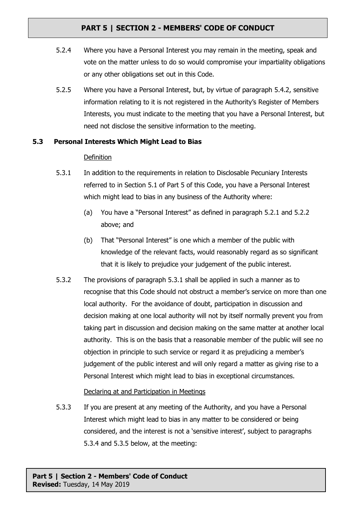- 5.2.4 Where you have a Personal Interest you may remain in the meeting, speak and vote on the matter unless to do so would compromise your impartiality obligations or any other obligations set out in this Code.
- 5.2.5 Where you have a Personal Interest, but, by virtue of paragraph 5.4.2, sensitive information relating to it is not registered in the Authority's Register of Members Interests, you must indicate to the meeting that you have a Personal Interest, but need not disclose the sensitive information to the meeting.

## **5.3 Personal Interests Which Might Lead to Bias**

## **Definition**

- 5.3.1 In addition to the requirements in relation to Disclosable Pecuniary Interests referred to in Section 5.1 of Part 5 of this Code, you have a Personal Interest which might lead to bias in any business of the Authority where:
	- (a) You have a "Personal Interest" as defined in paragraph 5.2.1 and 5.2.2 above; and
	- (b) That "Personal Interest" is one which a member of the public with knowledge of the relevant facts, would reasonably regard as so significant that it is likely to prejudice your judgement of the public interest.
- 5.3.2 The provisions of paragraph 5.3.1 shall be applied in such a manner as to recognise that this Code should not obstruct a member's service on more than one local authority. For the avoidance of doubt, participation in discussion and decision making at one local authority will not by itself normally prevent you from taking part in discussion and decision making on the same matter at another local authority. This is on the basis that a reasonable member of the public will see no objection in principle to such service or regard it as prejudicing a member's judgement of the public interest and will only regard a matter as giving rise to a Personal Interest which might lead to bias in exceptional circumstances.

## Declaring at and Participation in Meetings

5.3.3 If you are present at any meeting of the Authority, and you have a Personal Interest which might lead to bias in any matter to be considered or being considered, and the interest is not a 'sensitive interest', subject to paragraphs 5.3.4 and 5.3.5 below, at the meeting: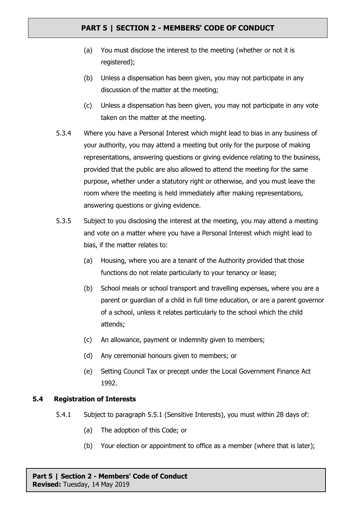- (a) You must disclose the interest to the meeting (whether or not it is registered);
- (b) Unless a dispensation has been given, you may not participate in any discussion of the matter at the meeting;
- (c) Unless a dispensation has been given, you may not participate in any vote taken on the matter at the meeting.
- 5.3.4 Where you have a Personal Interest which might lead to bias in any business of your authority, you may attend a meeting but only for the purpose of making representations, answering questions or giving evidence relating to the business, provided that the public are also allowed to attend the meeting for the same purpose, whether under a statutory right or otherwise, and you must leave the room where the meeting is held immediately after making representations, answering questions or giving evidence.
- 5.3.5 Subject to you disclosing the interest at the meeting, you may attend a meeting and vote on a matter where you have a Personal Interest which might lead to bias, if the matter relates to:
	- (a) Housing, where you are a tenant of the Authority provided that those functions do not relate particularly to your tenancy or lease;
	- (b) School meals or school transport and travelling expenses, where you are a parent or guardian of a child in full time education, or are a parent governor of a school, unless it relates particularly to the school which the child attends;
	- (c) An allowance, payment or indemnity given to members;
	- (d) Any ceremonial honours given to members; or
	- (e) Setting Council Tax or precept under the Local Government Finance Act 1992.

#### **5.4 Registration of Interests**

- 5.4.1 Subject to paragraph 5.5.1 (Sensitive Interests), you must within 28 days of:
	- (a) The adoption of this Code; or
	- (b) Your election or appointment to office as a member (where that is later);